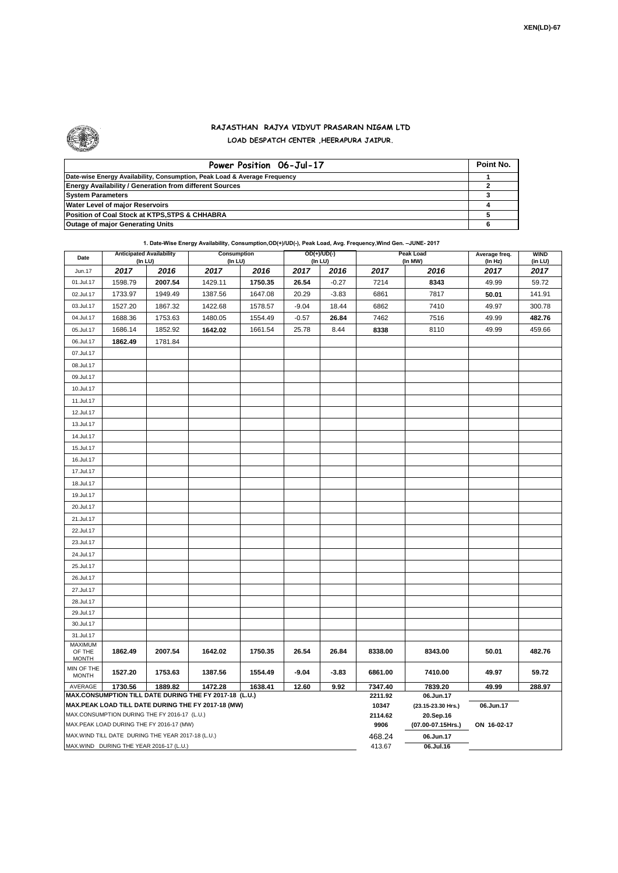

## **RAJASTHAN RAJYA VIDYUT PRASARAN NIGAM LTD LOAD DESPATCH CENTER ,HEERAPURA JAIPUR.**

| Power Position 06-Jul-17                                                  | Point No. |
|---------------------------------------------------------------------------|-----------|
| Date-wise Energy Availability, Consumption, Peak Load & Average Frequency |           |
| <b>Energy Availability / Generation from different Sources</b>            |           |
| <b>System Parameters</b>                                                  |           |
| <b>Water Level of major Reservoirs</b>                                    |           |
| Position of Coal Stock at KTPS, STPS & CHHABRA                            |           |
| <b>Outage of major Generating Units</b>                                   |           |

**1. Date-Wise Energy Availability, Consumption,OD(+)/UD(-), Peak Load, Avg. Frequency,Wind Gen. –JUNE- 2017**

| Date                                                                                                         | <b>Anticipated Availability</b><br>(In LU) |         | Consumption<br>(In LU) |         | OD(+)/UD(-)<br>(In LU) |         |                  | <b>Peak Load</b><br>(In MW)     | Average freq.<br>(In Hz) | <b>WIND</b><br>(in LU) |  |  |
|--------------------------------------------------------------------------------------------------------------|--------------------------------------------|---------|------------------------|---------|------------------------|---------|------------------|---------------------------------|--------------------------|------------------------|--|--|
| Jun.17                                                                                                       | 2017                                       | 2016    | 2017                   | 2016    | 2017                   | 2016    | 2017             | 2016                            | 2017                     | 2017                   |  |  |
| 01.Jul.17                                                                                                    | 1598.79                                    | 2007.54 | 1429.11                | 1750.35 | 26.54                  | $-0.27$ | 7214             | 8343                            | 49.99                    | 59.72                  |  |  |
| 02.Jul.17                                                                                                    | 1733.97                                    | 1949.49 | 1387.56                | 1647.08 | 20.29                  | $-3.83$ | 6861             | 7817                            | 50.01                    | 141.91                 |  |  |
| 03.Jul.17                                                                                                    | 1527.20                                    | 1867.32 | 1422.68                | 1578.57 | $-9.04$                | 18.44   | 6862             | 7410                            | 49.97                    | 300.78                 |  |  |
| 04.Jul.17                                                                                                    | 1688.36                                    | 1753.63 | 1480.05                | 1554.49 | $-0.57$                | 26.84   | 7462             | 7516                            | 49.99                    | 482.76                 |  |  |
| 05.Jul.17                                                                                                    | 1686.14                                    | 1852.92 | 1642.02                | 1661.54 | 25.78                  | 8.44    | 8338             | 8110                            | 49.99                    | 459.66                 |  |  |
| 06.Jul.17                                                                                                    | 1862.49                                    | 1781.84 |                        |         |                        |         |                  |                                 |                          |                        |  |  |
| 07.Jul.17                                                                                                    |                                            |         |                        |         |                        |         |                  |                                 |                          |                        |  |  |
| 08.Jul.17                                                                                                    |                                            |         |                        |         |                        |         |                  |                                 |                          |                        |  |  |
| 09.Jul.17                                                                                                    |                                            |         |                        |         |                        |         |                  |                                 |                          |                        |  |  |
| 10.Jul.17                                                                                                    |                                            |         |                        |         |                        |         |                  |                                 |                          |                        |  |  |
| 11.Jul.17                                                                                                    |                                            |         |                        |         |                        |         |                  |                                 |                          |                        |  |  |
| 12.Jul.17                                                                                                    |                                            |         |                        |         |                        |         |                  |                                 |                          |                        |  |  |
| 13.Jul.17                                                                                                    |                                            |         |                        |         |                        |         |                  |                                 |                          |                        |  |  |
| 14.Jul.17                                                                                                    |                                            |         |                        |         |                        |         |                  |                                 |                          |                        |  |  |
| 15.Jul.17                                                                                                    |                                            |         |                        |         |                        |         |                  |                                 |                          |                        |  |  |
| 16.Jul.17                                                                                                    |                                            |         |                        |         |                        |         |                  |                                 |                          |                        |  |  |
| 17.Jul.17                                                                                                    |                                            |         |                        |         |                        |         |                  |                                 |                          |                        |  |  |
| 18.Jul.17                                                                                                    |                                            |         |                        |         |                        |         |                  |                                 |                          |                        |  |  |
| 19.Jul.17                                                                                                    |                                            |         |                        |         |                        |         |                  |                                 |                          |                        |  |  |
| 20.Jul.17                                                                                                    |                                            |         |                        |         |                        |         |                  |                                 |                          |                        |  |  |
| 21.Jul.17                                                                                                    |                                            |         |                        |         |                        |         |                  |                                 |                          |                        |  |  |
| 22.Jul.17                                                                                                    |                                            |         |                        |         |                        |         |                  |                                 |                          |                        |  |  |
| 23.Jul.17                                                                                                    |                                            |         |                        |         |                        |         |                  |                                 |                          |                        |  |  |
| 24.Jul.17                                                                                                    |                                            |         |                        |         |                        |         |                  |                                 |                          |                        |  |  |
| 25.Jul.17                                                                                                    |                                            |         |                        |         |                        |         |                  |                                 |                          |                        |  |  |
| 26.Jul.17                                                                                                    |                                            |         |                        |         |                        |         |                  |                                 |                          |                        |  |  |
| 27.Jul.17                                                                                                    |                                            |         |                        |         |                        |         |                  |                                 |                          |                        |  |  |
| 28.Jul.17                                                                                                    |                                            |         |                        |         |                        |         |                  |                                 |                          |                        |  |  |
| 29.Jul.17                                                                                                    |                                            |         |                        |         |                        |         |                  |                                 |                          |                        |  |  |
| 30.Jul.17                                                                                                    |                                            |         |                        |         |                        |         |                  |                                 |                          |                        |  |  |
| 31.Jul.17                                                                                                    |                                            |         |                        |         |                        |         |                  |                                 |                          |                        |  |  |
| MAXIMUM<br>OF THE<br><b>MONTH</b>                                                                            | 1862.49                                    | 2007.54 | 1642.02                | 1750.35 | 26.54                  | 26.84   | 8338.00          | 8343.00                         | 50.01                    | 482.76                 |  |  |
| MIN OF THE<br><b>MONTH</b>                                                                                   | 1527.20                                    | 1753.63 | 1387.56                | 1554.49 | $-9.04$                | $-3.83$ | 6861.00          | 7410.00                         | 49.97                    | 59.72                  |  |  |
| 1730.56<br>1889.82<br>1472.28<br>12.60<br>9.92<br>AVERAGE<br>1638.41                                         |                                            |         |                        |         |                        |         | 7347.40          | 7839.20                         | 49.99                    | 288.97                 |  |  |
| MAX.CONSUMPTION TILL DATE DURING THE FY 2017-18 (L.U.)<br>MAX.PEAK LOAD TILL DATE DURING THE FY 2017-18 (MW) |                                            |         |                        |         |                        |         | 2211.92<br>10347 | 06.Jun.17<br>(23.15-23.30 Hrs.) | 06.Jun.17                |                        |  |  |
| MAX.CONSUMPTION DURING THE FY 2016-17 (L.U.)                                                                 |                                            |         |                        |         |                        |         | 2114.62          | 20.Sep.16                       |                          |                        |  |  |
| MAX.PEAK LOAD DURING THE FY 2016-17 (MW)                                                                     |                                            |         |                        |         |                        |         | 9906             | (07.00-07.15Hrs.)               | ON 16-02-17              |                        |  |  |
| MAX. WIND TILL DATE DURING THE YEAR 2017-18 (L.U.)                                                           |                                            |         |                        |         |                        |         | 468.24           | 06.Jun.17                       |                          |                        |  |  |
| MAX.WIND DURING THE YEAR 2016-17 (L.U.)                                                                      |                                            |         |                        |         |                        |         | 413.67           | 06.Jul.16                       |                          |                        |  |  |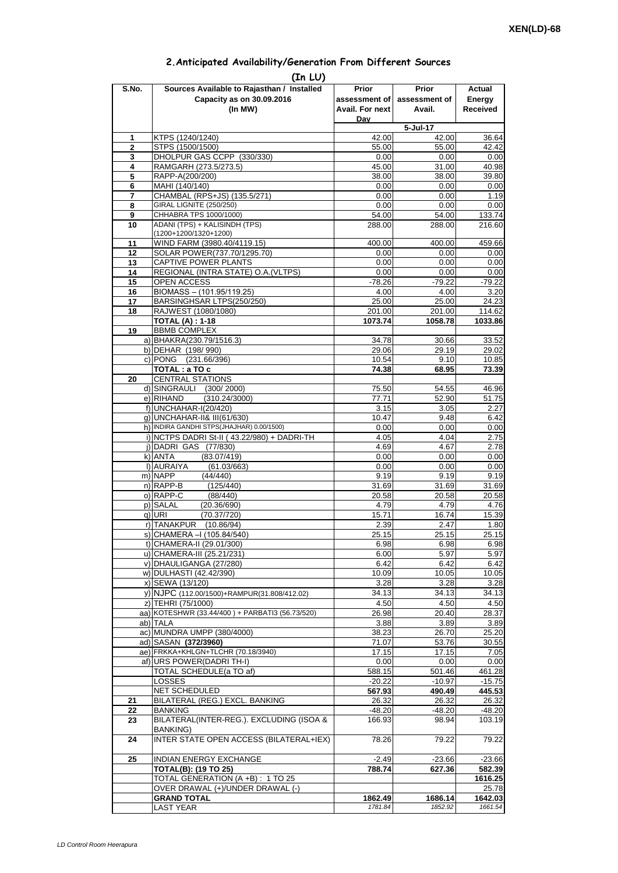| 2. Anticipated Availability/Generation From Different Sources |  |  |  |  |  |  |
|---------------------------------------------------------------|--|--|--|--|--|--|
|---------------------------------------------------------------|--|--|--|--|--|--|

| S.No.               | (In LU)<br>Sources Available to Rajasthan / Installed                    | Prior                  | <b>Prior</b>       | Actual             |
|---------------------|--------------------------------------------------------------------------|------------------------|--------------------|--------------------|
|                     | Capacity as on 30.09.2016                                                | assessment of          | assessment of      | Energy             |
|                     | (In MW)                                                                  | <b>Avail. For next</b> | Avail.             | <b>Received</b>    |
|                     |                                                                          | Dav                    |                    |                    |
|                     |                                                                          |                        | 5-Jul-17           |                    |
| 1<br>$\overline{2}$ | KTPS (1240/1240)<br>STPS (1500/1500)                                     | 42.00<br>55.00         | 42.00<br>55.00     | 36.64<br>42.42     |
| 3                   | DHOLPUR GAS CCPP (330/330)                                               | 0.00                   | 0.00               | 0.00               |
| 4                   | RAMGARH (273.5/273.5)                                                    | 45.00                  | 31.00              | 40.98              |
| 5                   | RAPP-A(200/200)                                                          | 38.00                  | 38.00              | 39.80              |
| 6                   | MAHI (140/140)                                                           | 0.00                   | 0.00               | 0.00               |
| 7<br>8              | CHAMBAL (RPS+JS) (135.5/271)<br><b>GIRAL LIGNITE (250/250)</b>           | 0.00<br>0.00           | 0.00               | 1.19               |
| 9                   | CHHABRA TPS 1000/1000)                                                   | 54.00                  | 0.00<br>54.00      | 0.00<br>133.74     |
| 10                  | ADANI (TPS) + KALISINDH (TPS)                                            | 288.00                 | 288.00             | 216.60             |
|                     | (1200+1200/1320+1200)                                                    |                        |                    |                    |
| 11                  | WIND FARM (3980.40/4119.15)                                              | 400.00                 | 400.00             | 459.66             |
| 12<br>13            | SOLAR POWER(737.70/1295.70)<br>CAPTIVE POWER PLANTS                      | 0.00<br>0.00           | 0.00<br>0.00       | 0.00<br>0.00       |
| 14                  | REGIONAL (INTRA STATE) O.A. (VLTPS)                                      | 0.00                   | 0.00               | 0.00               |
| 15                  | OPEN ACCESS                                                              | $-78.26$               | $-79.22$           | $-79.22$           |
| 16                  | BIOMASS - (101.95/119.25)                                                | 4.00                   | 4.00               | 3.20               |
| 17                  | BARSINGHSAR LTPS(250/250)                                                | 25.00                  | 25.00              | 24.23              |
| 18                  | RAJWEST (1080/1080)<br><b>TOTAL (A): 1-18</b>                            | 201.00<br>1073.74      | 201.00<br>1058.78  | 114.62<br>1033.86  |
| 19                  | <b>BBMB COMPLEX</b>                                                      |                        |                    |                    |
|                     | a) BHAKRA(230.79/1516.3)                                                 | 34.78                  | 30.66              | 33.52              |
|                     | b) DEHAR (198/990)                                                       | 29.06                  | 29.19              | 29.02              |
|                     | c) PONG (231.66/396)                                                     | 10.54                  | 9.10               | 10.85              |
| 20                  | TOTAL : a TO c<br><b>CENTRAL STATIONS</b>                                | 74.38                  | 68.95              | 73.39              |
|                     | d) SINGRAULI<br>(300/2000)                                               | 75.50                  | 54.55              | 46.96              |
|                     | e) RIHAND<br>(310.24/3000)                                               | 77.71                  | 52.90              | 51.75              |
|                     | f) UNCHAHAR-I(20/420)                                                    | 3.15                   | 3.05               | 2.27               |
|                     | q) UNCHAHAR-II& III(61/630)<br>h) INDIRA GANDHI STPS(JHAJHAR) 0.00/1500) | 10.47                  | 9.48               | 6.42               |
|                     | i) NCTPS DADRI St-II (43.22/980) + DADRI-TH                              | 0.00<br>4.05           | 0.00<br>4.04       | 0.00<br>2.75       |
|                     | j) DADRI GAS (77/830)                                                    | 4.69                   | 4.67               | 2.78               |
|                     | k) ANTA<br>(83.07/419)                                                   | 0.00                   | 0.00               | 0.00               |
|                     | I) AURAIYA<br>(61.03/663)                                                | 0.00                   | 0.00               | 0.00               |
|                     | m) NAPP<br>(44/440)                                                      | 9.19                   | 9.19               | 9.19               |
|                     | n) RAPP-B<br>(125/440)<br>o) RAPP-C<br>(88/440)                          | 31.69<br>20.58         | 31.69<br>20.58     | 31.69<br>20.58     |
|                     | p) SALAL<br>(20.36/690)                                                  | 4.79                   | 4.79               | 4.76               |
|                     | (70.37/720)<br>q) URI                                                    | 15.71                  | 16.74              | 15.39              |
|                     | r) TANAKPUR<br>(10.86/94)                                                | 2.39                   | 2.47               | 1.80               |
|                     | S) CHAMERA –I (105.84/540)                                               | 25.15                  | 25.15              | 25.15              |
|                     | t) CHAMERA-II (29.01/300)<br>u) CHAMERA-III (25.21/231)                  | 6.98<br>6.00           | 6.98<br>5.97       | 6.98<br>5.97       |
|                     | v) DHAULIGANGA (27/280)                                                  | 6.42                   | 6.42               | 6.42               |
|                     | w) DULHASTI (42.42/390)                                                  | 10.09                  | 10.05              | 10.05              |
|                     | x) SEWA (13/120)                                                         | 3.28                   | 3.28               | 3.28               |
|                     | y) NJPC (112.00/1500)+RAMPUR(31.808/412.02)                              | 34.13                  | 34.13              | 34.13              |
|                     | z) TEHRI (75/1000)<br>aa) KOTESHWR (33.44/400) + PARBATI3 (56.73/520)    | 4.50<br>26.98          | 4.50<br>20.40      | 4.50<br>28.37      |
|                     | ab) TALA                                                                 | 3.88                   | 3.89               | 3.89               |
|                     | ac) MUNDRA UMPP (380/4000)                                               | 38.23                  | 26.70              | 25.20              |
|                     | ad) SASAN (372/3960)                                                     | 71.07                  | 53.76              | 30.55              |
|                     | ae) FRKKA+KHLGN+TLCHR (70.18/3940)                                       | 17.15                  | 17.15              | 7.05               |
|                     | af) URS POWER(DADRI TH-I)<br>TOTAL SCHEDULE(a TO af)                     | 0.00<br>588.15         | 0.00<br>501.46     | 0.00<br>461.28     |
|                     | <b>LOSSES</b>                                                            | $-20.22$               | $-10.97$           | $-15.75$           |
|                     | NET SCHEDULED                                                            | 567.93                 | 490.49             | 445.53             |
| 21                  | BILATERAL (REG.) EXCL. BANKING                                           | 26.32                  | 26.32              | 26.32              |
| 22                  | <b>BANKING</b>                                                           | $-48.20$               | $-48.20$           | $-48.20$           |
| 23                  | BILATERAL(INTER-REG.). EXCLUDING (ISOA &<br><b>BANKING)</b>              | 166.93                 | 98.94              | 103.19             |
| 24                  | INTER STATE OPEN ACCESS (BILATERAL+IEX)                                  | 78.26                  | 79.22              | 79.22              |
| 25                  | INDIAN ENERGY EXCHANGE                                                   | $-2.49$                | $-23.66$           | $-23.66$           |
|                     | <b>TOTAL(B): (19 TO 25)</b>                                              | 788.74                 | 627.36             | 582.39             |
|                     | TOTAL GENERATION (A +B) : 1 TO 25                                        |                        |                    | 1616.25            |
|                     | OVER DRAWAL (+)/UNDER DRAWAL (-)                                         |                        |                    | 25.78              |
|                     | <b>GRAND TOTAL</b><br><b>LAST YEAR</b>                                   | 1862.49<br>1781.84     | 1686.14<br>1852.92 | 1642.03<br>1661.54 |
|                     |                                                                          |                        |                    |                    |